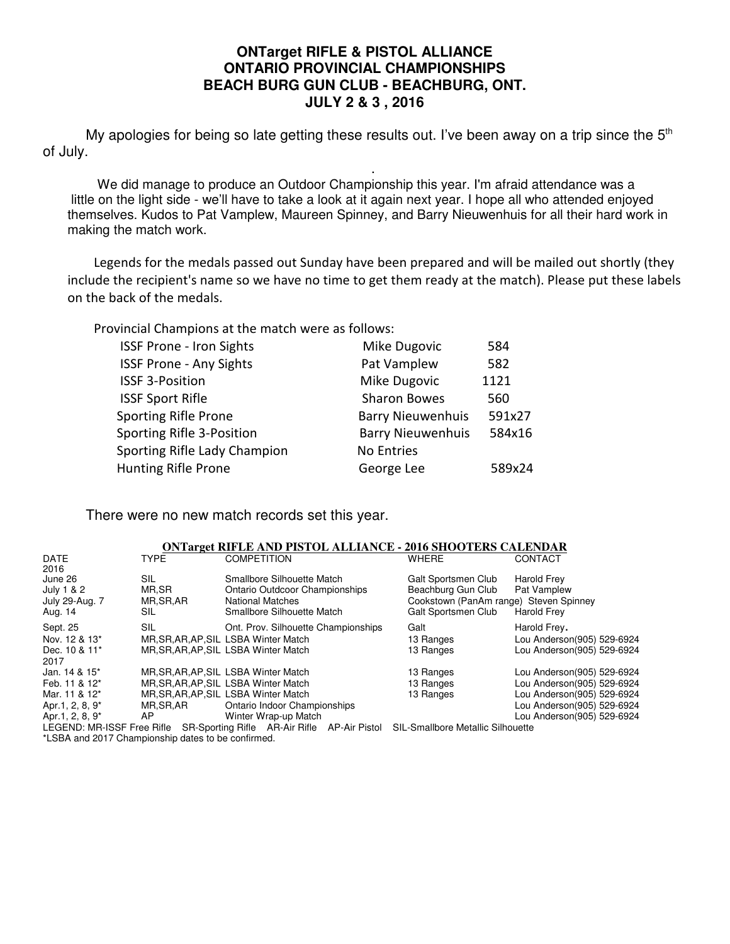#### **ONTarget RIFLE & PISTOL ALLIANCE ONTARIO PROVINCIAL CHAMPIONSHIPS BEACH BURG GUN CLUB - BEACHBURG, ONT. JULY 2 & 3 , 2016**

My apologies for being so late getting these results out. I've been away on a trip since the  $5<sup>th</sup>$ of July.

. We did manage to produce an Outdoor Championship this year. I'm afraid attendance was a little on the light side - we'll have to take a look at it again next year. I hope all who attended enjoyed themselves. Kudos to Pat Vamplew, Maureen Spinney, and Barry Nieuwenhuis for all their hard work in making the match work.

 Legends for the medals passed out Sunday have been prepared and will be mailed out shortly (they include the recipient's name so we have no time to get them ready at the match). Please put these labels on the back of the medals.

Provincial Champions at the match were as follows:

| <b>ISSF Prone - Iron Sights</b> | Mike Dugovic             | 584    |
|---------------------------------|--------------------------|--------|
| <b>ISSF Prone - Any Sights</b>  | Pat Vamplew              | 582    |
| <b>ISSF 3-Position</b>          | Mike Dugovic             | 1121   |
| <b>ISSF Sport Rifle</b>         | <b>Sharon Bowes</b>      | 560    |
| <b>Sporting Rifle Prone</b>     | <b>Barry Nieuwenhuis</b> | 591x27 |
| Sporting Rifle 3-Position       | <b>Barry Nieuwenhuis</b> | 584x16 |
| Sporting Rifle Lady Champion    | <b>No Entries</b>        |        |
| Hunting Rifle Prone             | George Lee               | 589x24 |

There were no new match records set this year.

| <b>ONTarget RIFLE AND PISTOL ALLIANCE - 2016 SHOOTERS CALENDAR</b> |             |                                                                         |                                        |                            |  |  |  |  |  |  |  |  |  |
|--------------------------------------------------------------------|-------------|-------------------------------------------------------------------------|----------------------------------------|----------------------------|--|--|--|--|--|--|--|--|--|
| <b>DATE</b>                                                        | <b>TYPE</b> | <b>COMPETITION</b>                                                      | <b>WHERE</b>                           | CONTACT                    |  |  |  |  |  |  |  |  |  |
| 2016                                                               |             |                                                                         |                                        |                            |  |  |  |  |  |  |  |  |  |
| June 26                                                            | SIL.        | Smallbore Silhouette Match                                              | Galt Sportsmen Club                    | <b>Harold Frey</b>         |  |  |  |  |  |  |  |  |  |
| July 1 & 2                                                         | MR,SR       | <b>Ontario Outdcoor Championships</b>                                   | Beachburg Gun Club                     | Pat Vamplew                |  |  |  |  |  |  |  |  |  |
| July 29-Aug. 7                                                     | MR, SR, AR  | <b>National Matches</b>                                                 | Cookstown (PanAm range) Steven Spinney |                            |  |  |  |  |  |  |  |  |  |
| Aug. 14                                                            | SIL         | Smallbore Silhouette Match                                              | Galt Sportsmen Club                    | Harold Frey                |  |  |  |  |  |  |  |  |  |
| Sept. 25                                                           | SIL         | Ont. Prov. Silhouette Championships                                     | Galt                                   | Harold Frey.               |  |  |  |  |  |  |  |  |  |
| Nov. 12 & 13*                                                      |             | MR, SR, AR, AP, SIL LSBA Winter Match                                   | 13 Ranges                              | Lou Anderson(905) 529-6924 |  |  |  |  |  |  |  |  |  |
| Dec. 10 & 11*                                                      |             | MR, SR, AR, AP, SIL LSBA Winter Match                                   | 13 Ranges                              | Lou Anderson(905) 529-6924 |  |  |  |  |  |  |  |  |  |
| 2017                                                               |             |                                                                         |                                        |                            |  |  |  |  |  |  |  |  |  |
| Jan. 14 & 15*                                                      |             | MR, SR, AR, AP, SIL LSBA Winter Match                                   | 13 Ranges                              | Lou Anderson(905) 529-6924 |  |  |  |  |  |  |  |  |  |
| Feb. 11 & 12*                                                      |             | MR.SR.AR.AP.SIL LSBA Winter Match                                       | 13 Ranges                              | Lou Anderson(905) 529-6924 |  |  |  |  |  |  |  |  |  |
| Mar. 11 & 12*                                                      |             | MR, SR, AR, AP, SIL LSBA Winter Match                                   | 13 Ranges                              | Lou Anderson(905) 529-6924 |  |  |  |  |  |  |  |  |  |
| Apr. 1, 2, 8, 9*                                                   | MR.SR.AR    | Ontario Indoor Championships                                            |                                        | Lou Anderson(905) 529-6924 |  |  |  |  |  |  |  |  |  |
| Apr. 1, 2, 8, 9*                                                   | AP.         | Winter Wrap-up Match                                                    |                                        | Lou Anderson(905) 529-6924 |  |  |  |  |  |  |  |  |  |
|                                                                    |             | LEGEND: MR-ISSF Free Rifle SR-Sporting Rifle AR-Air Rifle AP-Air Pistol | SIL-Smallbore Metallic Silhouette      |                            |  |  |  |  |  |  |  |  |  |
| *LSBA and 2017 Championship dates to be confirmed.                 |             |                                                                         |                                        |                            |  |  |  |  |  |  |  |  |  |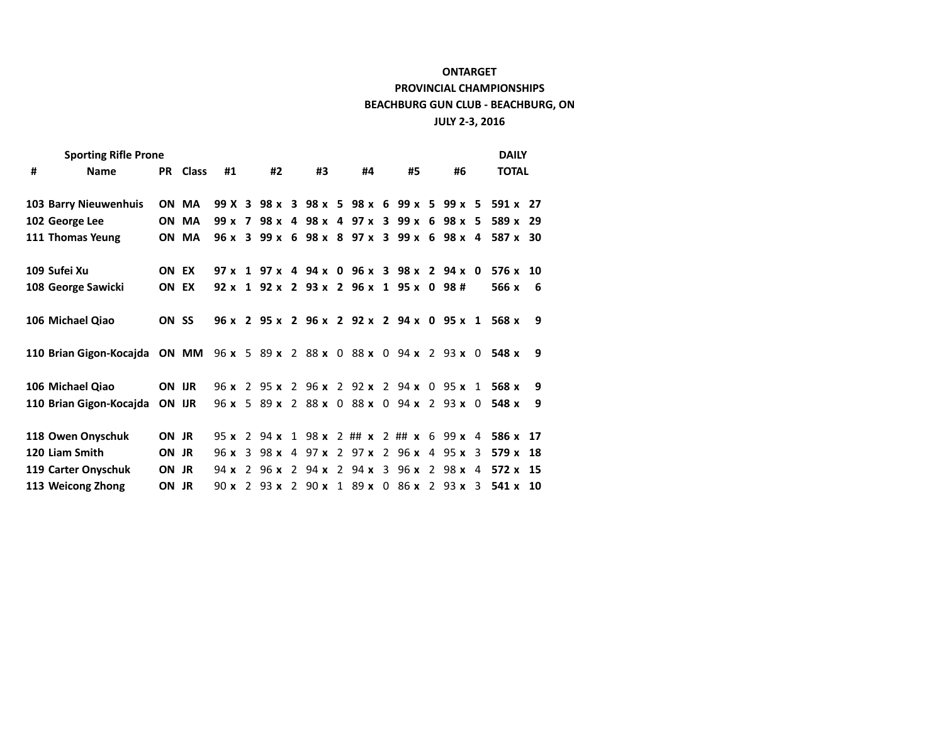| <b>Sporting Rifle Prone</b>                                             |       |                |  |    |  |          |  |                                           |  |    |  |              | <b>DAILY</b>                                       |   |
|-------------------------------------------------------------------------|-------|----------------|--|----|--|----------|--|-------------------------------------------|--|----|--|--------------|----------------------------------------------------|---|
| #<br><b>Name</b>                                                        |       | PR Class<br>#1 |  | #2 |  | #3<br>#4 |  | #5                                        |  | #6 |  | <b>TOTAL</b> |                                                    |   |
| 103 Barry Nieuwenhuis                                                   |       | ON MA          |  |    |  |          |  | 99 X 3 98 x 3 98 x 5 98 x 6 99 x 5 99 x 5 |  |    |  |              | 591 x 27                                           |   |
| 102 George Lee                                                          |       | ON MA          |  |    |  |          |  | 99 x 7 98 x 4 98 x 4 97 x 3 99 x 6 98 x 5 |  |    |  |              | 589 x 29                                           |   |
| 111 Thomas Yeung                                                        |       | ON MA          |  |    |  |          |  |                                           |  |    |  |              | 96 x 3 99 x 6 98 x 8 97 x 3 99 x 6 98 x 4 587 x 30 |   |
|                                                                         |       |                |  |    |  |          |  |                                           |  |    |  |              |                                                    |   |
| 109 Sufei Xu                                                            | ON EX |                |  |    |  |          |  | 97 x 1 97 x 4 94 x 0 96 x 3 98 x 2 94 x 0 |  |    |  |              | $576 \times 10$                                    |   |
| 108 George Sawicki                                                      | ON EX |                |  |    |  |          |  | 92 x 1 92 x 2 93 x 2 96 x 1 95 x 0 98 #   |  |    |  |              | 566 x                                              | 6 |
|                                                                         |       |                |  |    |  |          |  |                                           |  |    |  |              |                                                    |   |
| 106 Michael Qiao                                                        | ON SS |                |  |    |  |          |  |                                           |  |    |  |              | 96 x 2 95 x 2 96 x 2 92 x 2 94 x 0 95 x 1 568 x    | 9 |
|                                                                         |       |                |  |    |  |          |  |                                           |  |    |  |              |                                                    |   |
| 110 Brian Gigon-Kocajda ON MM 96 x 5 89 x 2 88 x 0 88 x 0 94 x 2 93 x 0 |       |                |  |    |  |          |  |                                           |  |    |  |              | 548 x                                              | 9 |
|                                                                         |       |                |  |    |  |          |  |                                           |  |    |  |              |                                                    |   |
| 106 Michael Qiao                                                        |       | ON UR          |  |    |  |          |  | 96 x 2 95 x 2 96 x 2 92 x 2 94 x 0 95 x 1 |  |    |  |              | 568 x                                              | 9 |
| 110 Brian Gigon-Kocajda                                                 |       | ON UR          |  |    |  |          |  | 96 x 5 89 x 2 88 x 0 88 x 0 94 x 2 93 x 0 |  |    |  |              | 548 x                                              | 9 |
|                                                                         |       |                |  |    |  |          |  |                                           |  |    |  |              |                                                    |   |
| 118 Owen Onyschuk                                                       | ON JR |                |  |    |  |          |  | 95 x 2 94 x 1 98 x 2 ## x 2 ## x 6 99 x 4 |  |    |  |              | 586 x 17                                           |   |
| 120 Liam Smith                                                          | ON JR |                |  |    |  |          |  | 96 x 3 98 x 4 97 x 2 97 x 2 96 x 4 95 x 3 |  |    |  |              | 579 x 18                                           |   |
| 119 Carter Onyschuk                                                     | ON JR |                |  |    |  |          |  | 94 x 2 96 x 2 94 x 2 94 x 3 96 x 2 98 x 4 |  |    |  |              | $572 \times 15$                                    |   |
| 113 Weicong Zhong                                                       | ON JR |                |  |    |  |          |  | 90 x 2 93 x 2 90 x 1 89 x 0 86 x 2 93 x 3 |  |    |  |              | $541 \times 10$                                    |   |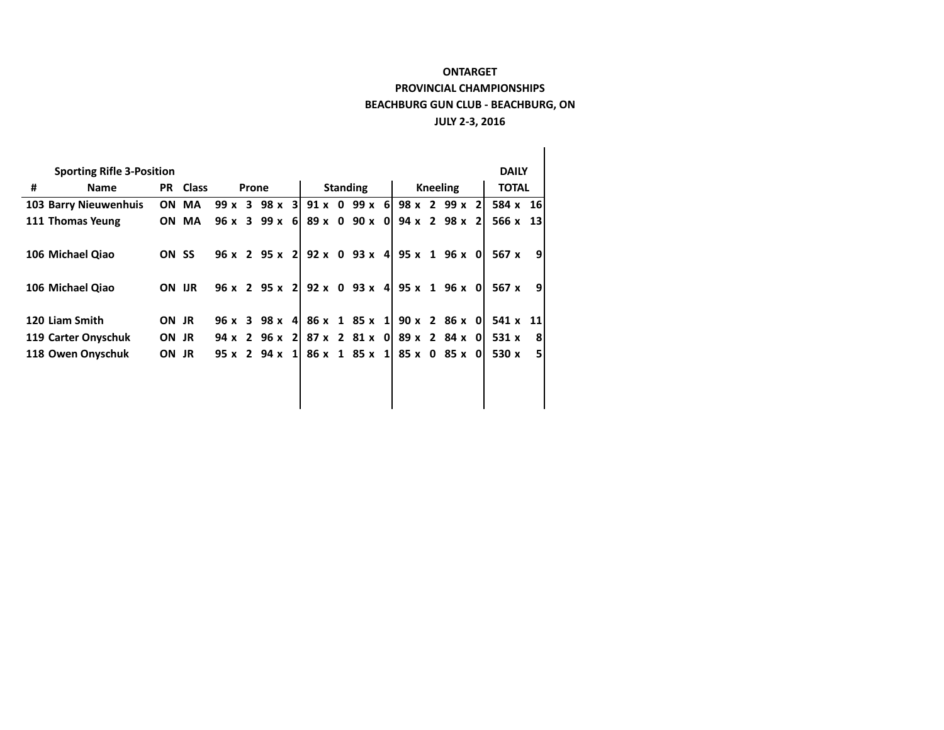|   | <b>Sporting Rifle 3-Position</b> |       |                 |      |       |                          |  |                 |  |                                    |  |                 |  |                             |  | <b>DAILY</b>    |   |  |
|---|----------------------------------|-------|-----------------|------|-------|--------------------------|--|-----------------|--|------------------------------------|--|-----------------|--|-----------------------------|--|-----------------|---|--|
| # | Name                             |       | <b>PR</b> Class |      | Prone |                          |  | <b>Standing</b> |  |                                    |  | <b>Kneeling</b> |  |                             |  | <b>TOTAL</b>    |   |  |
|   | <b>103 Barry Nieuwenhuis</b>     |       | ON MA           |      |       | $99x$ 3 $98x$ 3          |  |                 |  | $91 \times 0$ 99 $\times$ 6        |  |                 |  | $98 \times 299 \times 2$    |  | 584 x 16        |   |  |
|   | 111 Thomas Yeung                 |       | ON MA           |      |       | 96 x 3 99 x 6            |  |                 |  | $89 \times 0$ 90 $\times$ 0        |  |                 |  | $94 \times 2$ 98 $\times$ 2 |  | $566 \times 13$ |   |  |
|   | 106 Michael Qiao                 | ON SS |                 |      |       |                          |  |                 |  | $96 \times 2$ 95 x 2 92 x 0 93 x 4 |  |                 |  | $95 \times 1$ 96 $\times$ 0 |  | 567 x           | 9 |  |
|   | 106 Michael Qiao                 | ON UR |                 |      |       |                          |  |                 |  | $96 \times 2$ 95 x 2 92 x 0 93 x 4 |  |                 |  | $95 \times 1$ 96 $\times$ 0 |  | 567 x           | 9 |  |
|   | 120 Liam Smith                   | ON JR |                 |      |       | $96 \times 398 \times 4$ |  |                 |  | 86 x 1 85 x 1                      |  |                 |  | $90 \times 286 \times 0$    |  | 541 x 11        |   |  |
|   | 119 Carter Onyschuk              | ON JR |                 |      |       | $94 \times 296 \times 2$ |  |                 |  | $87 \times 2$ $81 \times 0$        |  |                 |  | $89 \times 284 \times 0$    |  | 531 x           | 8 |  |
|   | 118 Owen Onyschuk                | ON JR |                 | 95 x |       | $294 \times 1$           |  |                 |  | $86 \times 185 \times 1$           |  |                 |  | 85 x 0 85 x 0               |  | 530 x           | 5 |  |
|   |                                  |       |                 |      |       |                          |  |                 |  |                                    |  |                 |  |                             |  |                 |   |  |
|   |                                  |       |                 |      |       |                          |  |                 |  |                                    |  |                 |  |                             |  |                 |   |  |
|   |                                  |       |                 |      |       |                          |  |                 |  |                                    |  |                 |  |                             |  |                 |   |  |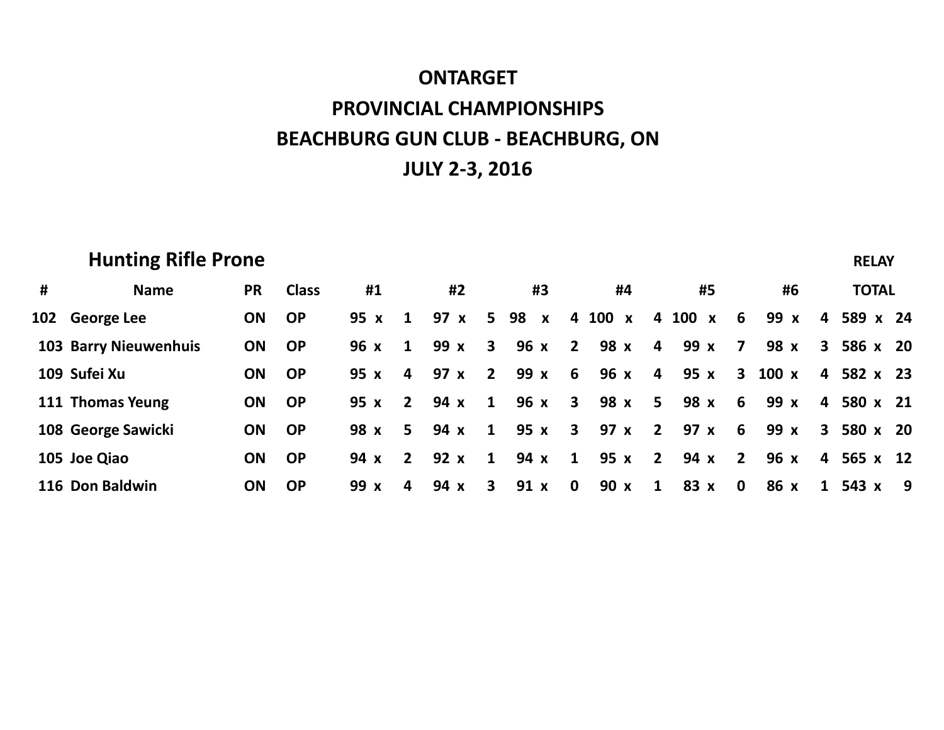|   | <b>Hunting Rifle Prone</b>   |           |              |      |                         |      |                         |                    |                         |         |                         |         |                 |      |                         | <b>RELAY</b> |   |
|---|------------------------------|-----------|--------------|------|-------------------------|------|-------------------------|--------------------|-------------------------|---------|-------------------------|---------|-----------------|------|-------------------------|--------------|---|
| # | <b>Name</b>                  | <b>PR</b> | <b>Class</b> | #1   |                         | #2   |                         | #3                 |                         | #4      |                         | #5      |                 | #6   |                         | <b>TOTAL</b> |   |
|   | 102 George Lee               | <b>ON</b> | <b>OP</b>    | 95 x | $\mathbf{1}$            | 97 x | 5 <sup>5</sup>          | 98<br>$\mathbf{x}$ |                         | 4 100 x |                         | 4 100 x | 6               | 99 x | 4                       | 589 x 24     |   |
|   | <b>103 Barry Nieuwenhuis</b> | <b>ON</b> | <b>OP</b>    | 96 x | $\mathbf{1}$            | 99 x | $\overline{\mathbf{3}}$ | 96 x               | $\overline{\mathbf{2}}$ | 98 x    | 4                       | 99 x    | $\overline{7}$  | 98 x | $\mathbf{3}$            | 586 x 20     |   |
|   | 109 Sufei Xu                 | ON        | <b>OP</b>    | 95 x | $\overline{\mathbf{4}}$ | 97 x | $\overline{2}$          | 99 x               | 6                       | 96 x    | 4                       | 95 x    | $\mathbf{3}$    | 100x | $\overline{4}$          | 582 x 23     |   |
|   | 111 Thomas Yeung             | <b>ON</b> | <b>OP</b>    | 95 x | $2^{\circ}$             | 94 x | $\mathbf{1}$            | $96x$ 3            |                         | 98 x 5  |                         | 98 x    | $6\overline{6}$ | 99 x | $\overline{4}$          | 580 x 21     |   |
|   | 108 George Sawicki           | <b>ON</b> | <b>OP</b>    | 98 x | 5 <sup>1</sup>          | 94 x | $\mathbf{1}$            | 95 x               | $\overline{\mathbf{3}}$ | 97x     | $\overline{\mathbf{2}}$ | 97x     | $6\overline{6}$ | 99 x | $\mathbf{3}$            | 580 x 20     |   |
|   | 105 Joe Qiao                 | <b>ON</b> | <b>OP</b>    | 94 x | $2^{\circ}$             | 92 x | $\mathbf{1}$            | 94 x               | $\mathbf{1}$            | 95 x    | $\overline{2}$          | 94 x    | $\overline{2}$  | 96 x | $\overline{\mathbf{4}}$ | 565 x 12     |   |
|   | 116 Don Baldwin              | <b>ON</b> | <b>OP</b>    | 99 x | 4                       | 94 x | 3                       | 91x                | $\mathbf 0$             | 90 x    | $\mathbf{1}$            | 83 x    | $\mathbf 0$     | 86 x | $\mathbf{1}$            | 543 x        | 9 |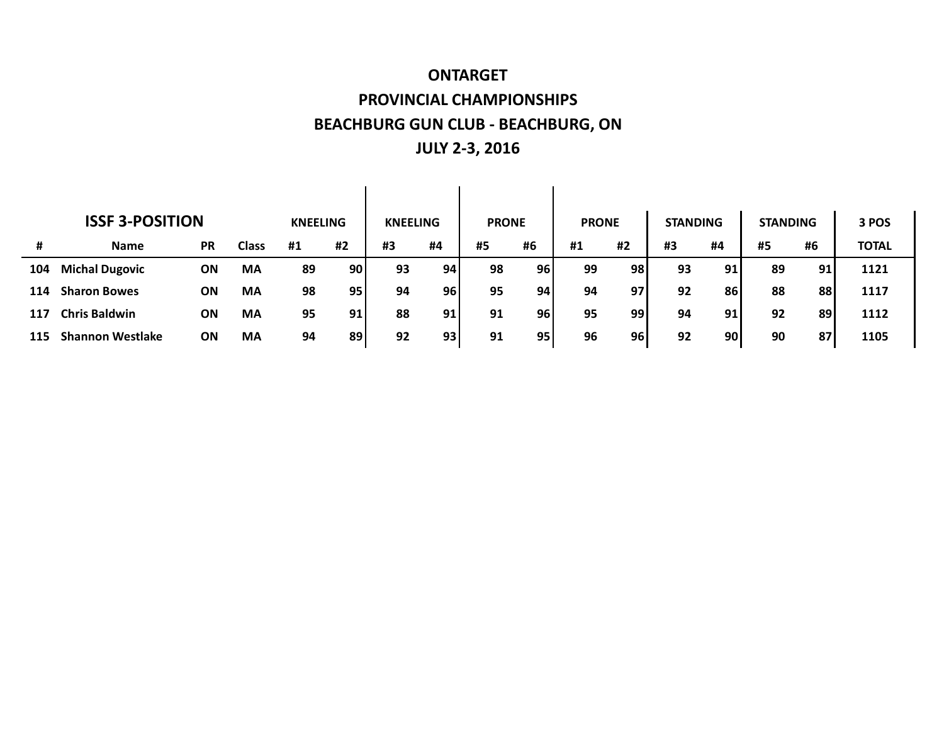| <b>ISSF 3-POSITION</b> |                         |           |              |                 |                 |                 |                 |              |           |              |     |                 |    |                 |    |              |
|------------------------|-------------------------|-----------|--------------|-----------------|-----------------|-----------------|-----------------|--------------|-----------|--------------|-----|-----------------|----|-----------------|----|--------------|
|                        |                         |           |              | <b>KNEELING</b> |                 | <b>KNEELING</b> |                 | <b>PRONE</b> |           | <b>PRONE</b> |     | <b>STANDING</b> |    | <b>STANDING</b> |    | 3 POS        |
| #                      | <b>Name</b>             | <b>PR</b> | <b>Class</b> | #1              | #2              | #3              | #4              | #5           | #6        | #1           | #2  | #3              | #4 | #5              | #6 | <b>TOTAL</b> |
| 104                    | <b>Michal Dugovic</b>   | ON        | MA           | 89              | 90 <sub>l</sub> | 93              | 94              | 98           | <b>96</b> | 99           | 98) | 93              | 91 | 89              | 91 | 1121         |
| 114                    | <b>Sharon Bowes</b>     | ΟN        | MA           | 98              | 95              | 94              | 96 <sub>1</sub> | 95           | 94        | 94           | 97  | 92              | 86 | 88              | 88 | 1117         |
| 117                    | <b>Chris Baldwin</b>    | ΟN        | MA           | 95              | 91              | 88              | 91              | 91           | 96        | 95           | 991 | 94              | 91 | 92              | 89 | 1112         |
| 115                    | <b>Shannon Westlake</b> | <b>ON</b> | MA           | 94              | 89 I            | 92              | 93 <sub>1</sub> | 91           | 95        | 96           | 96  | 92              | 90 | 90              | 87 | 1105         |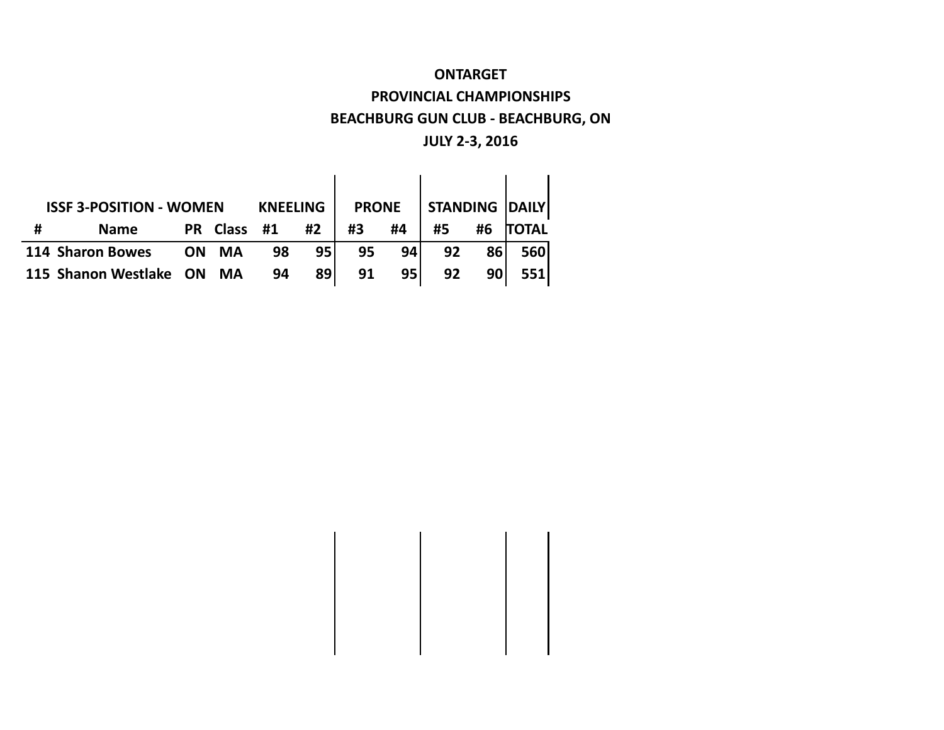|   | <b>ISSF 3-POSITION - WOMEN</b> | <b>PRONE</b> |           |    | <b>STANDING DAILY</b> |    |      |    |           |              |
|---|--------------------------------|--------------|-----------|----|-----------------------|----|------|----|-----------|--------------|
| # | <b>Name</b>                    |              | PR Class  | #1 | #2                    | #3 | #4   | #5 | #6        | <b>TOTAL</b> |
|   | 114 Sharon Bowes               | <b>ON</b>    | MA        | 98 | 95 l                  | 95 | 94   | 92 | 86        | 560          |
|   | 115 Shanon Westlake            | ON           | <b>MA</b> | 94 | 891                   | 91 | 95 l | 92 | <b>90</b> | <b>5511</b>  |